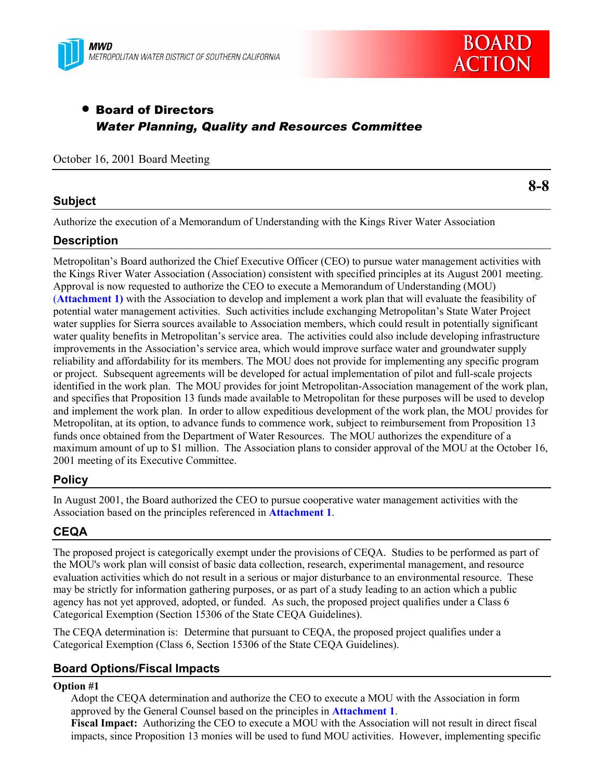



# • Board of Directors *Water Planning, Quality and Resources Committee*

#### October 16, 2001 Board Meeting

## **Subject**

**8-8**

Authorize the execution of a Memorandum of Understanding with the Kings River Water Association

## **Description**

Metropolitanís Board authorized the Chief Executive Officer (CEO) to pursue water management activities with the Kings River Water Association (Association) consistent with specified principles at its August 2001 meeting. Approval is now requested to authorize the CEO to execute a Memorandum of Understanding (MOU) (**Attachment 1)** with the Association to develop and implement a work plan that will evaluate the feasibility of potential water management activities. Such activities include exchanging Metropolitanís State Water Project water supplies for Sierra sources available to Association members, which could result in potentially significant water quality benefits in Metropolitan's service area. The activities could also include developing infrastructure improvements in the Association's service area, which would improve surface water and groundwater supply reliability and affordability for its members. The MOU does not provide for implementing any specific program or project. Subsequent agreements will be developed for actual implementation of pilot and full-scale projects identified in the work plan. The MOU provides for joint Metropolitan-Association management of the work plan, and specifies that Proposition 13 funds made available to Metropolitan for these purposes will be used to develop and implement the work plan. In order to allow expeditious development of the work plan, the MOU provides for Metropolitan, at its option, to advance funds to commence work, subject to reimbursement from Proposition 13 funds once obtained from the Department of Water Resources. The MOU authorizes the expenditure of a maximum amount of up to \$1 million. The Association plans to consider approval of the MOU at the October 16, 2001 meeting of its Executive Committee.

# **Policy**

In August 2001, the Board authorized the CEO to pursue cooperative water management activities with the Association based on the principles referenced in **Attachment 1**.

# **CEQA**

The proposed project is categorically exempt under the provisions of CEQA. Studies to be performed as part of the MOU's work plan will consist of basic data collection, research, experimental management, and resource evaluation activities which do not result in a serious or major disturbance to an environmental resource. These may be strictly for information gathering purposes, or as part of a study leading to an action which a public agency has not yet approved, adopted, or funded. As such, the proposed project qualifies under a Class 6 Categorical Exemption (Section 15306 of the State CEQA Guidelines).

The CEQA determination is: Determine that pursuant to CEQA, the proposed project qualifies under a Categorical Exemption (Class 6, Section 15306 of the State CEQA Guidelines).

# **Board Options/Fiscal Impacts**

#### **Option #1**

Adopt the CEQA determination and authorize the CEO to execute a MOU with the Association in form approved by the General Counsel based on the principles in **Attachment 1**.

**Fiscal Impact:** Authorizing the CEO to execute a MOU with the Association will not result in direct fiscal impacts, since Proposition 13 monies will be used to fund MOU activities. However, implementing specific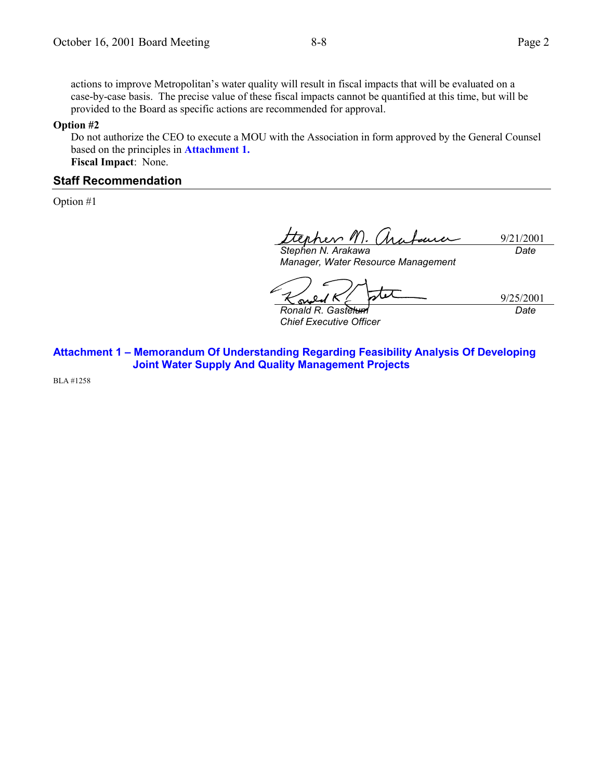#### **Option #2**

Do not authorize the CEO to execute a MOU with the Association in form approved by the General Counsel based on the principles in **Attachment 1. Fiscal Impact**:None.

provided to the Board as specific actions are recommended for approval.

#### **Staff Recommendation**

Option #1

rev 11). 9/21/2001 بمدربيه *Stephen N. Arakawa Date*

*Manager, Water Resource Management*

 $\boldsymbol{\mathcal{A}}$ 9/25/2001

*Ronald R. Gastelum Chief Executive Officer* *Date*

**Attachment 1 - Memorandum Of Understanding Regarding Feasibility Analysis Of Developing Joint Water Supply And Quality Management Projects**

BLA #1258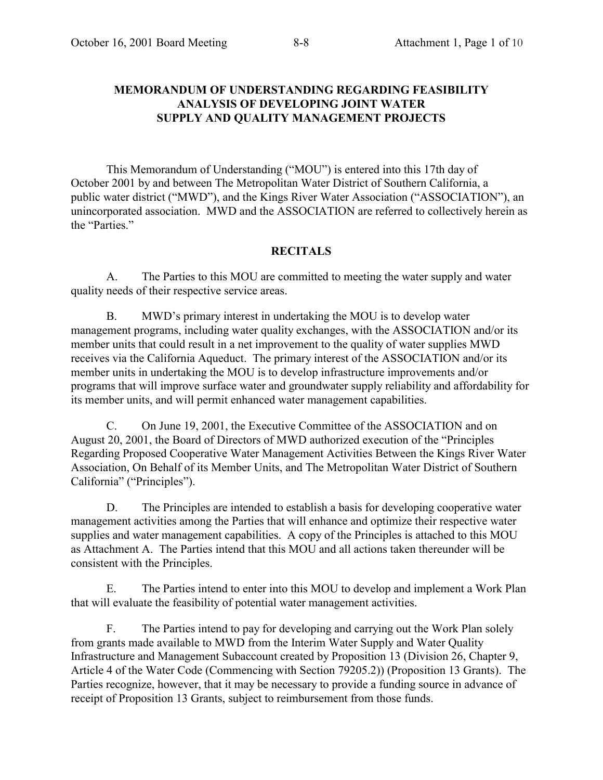# **MEMORANDUM OF UNDERSTANDING REGARDING FEASIBILITY ANALYSIS OF DEVELOPING JOINT WATER SUPPLY AND QUALITY MANAGEMENT PROJECTS**

This Memorandum of Understanding ("MOU") is entered into this 17th day of October 2001 by and between The Metropolitan Water District of Southern California, a public water district ("MWD"), and the Kings River Water Association ("ASSOCIATION"), an unincorporated association. MWD and the ASSOCIATION are referred to collectively herein as the "Parties."

### **RECITALS**

A. The Parties to this MOU are committed to meeting the water supply and water quality needs of their respective service areas.

B. MWD's primary interest in undertaking the MOU is to develop water management programs, including water quality exchanges, with the ASSOCIATION and/or its member units that could result in a net improvement to the quality of water supplies MWD receives via the California Aqueduct. The primary interest of the ASSOCIATION and/or its member units in undertaking the MOU is to develop infrastructure improvements and/or programs that will improve surface water and groundwater supply reliability and affordability for its member units, and will permit enhanced water management capabilities.

C. On June 19, 2001, the Executive Committee of the ASSOCIATION and on August 20, 2001, the Board of Directors of MWD authorized execution of the "Principles" Regarding Proposed Cooperative Water Management Activities Between the Kings River Water Association, On Behalf of its Member Units, and The Metropolitan Water District of Southern California" ("Principles").

D. The Principles are intended to establish a basis for developing cooperative water management activities among the Parties that will enhance and optimize their respective water supplies and water management capabilities. A copy of the Principles is attached to this MOU as Attachment A. The Parties intend that this MOU and all actions taken thereunder will be consistent with the Principles.

E. The Parties intend to enter into this MOU to develop and implement a Work Plan that will evaluate the feasibility of potential water management activities.

F. The Parties intend to pay for developing and carrying out the Work Plan solely from grants made available to MWD from the Interim Water Supply and Water Quality Infrastructure and Management Subaccount created by Proposition 13 (Division 26, Chapter 9, Article 4 of the Water Code (Commencing with Section 79205.2)) (Proposition 13 Grants). The Parties recognize, however, that it may be necessary to provide a funding source in advance of receipt of Proposition 13 Grants, subject to reimbursement from those funds.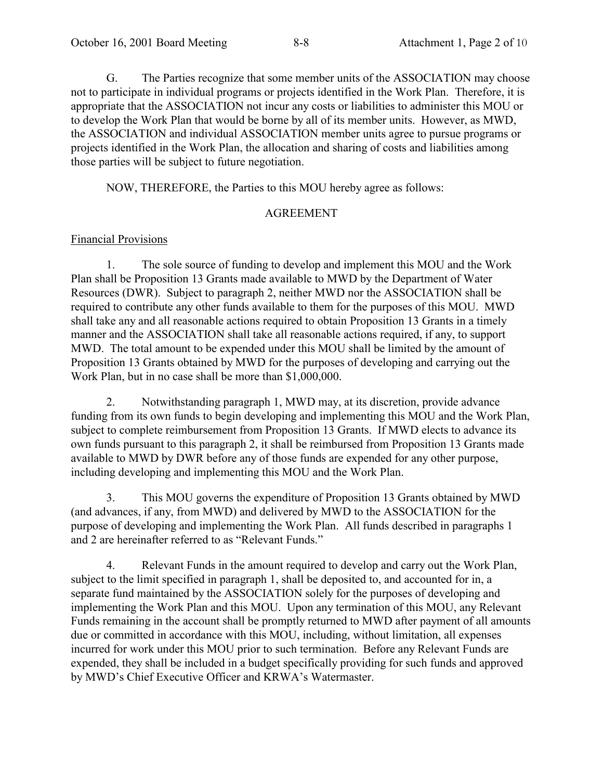G. The Parties recognize that some member units of the ASSOCIATION may choose not to participate in individual programs or projects identified in the Work Plan. Therefore, it is appropriate that the ASSOCIATION not incur any costs or liabilities to administer this MOU or to develop the Work Plan that would be borne by all of its member units. However, as MWD, the ASSOCIATION and individual ASSOCIATION member units agree to pursue programs or projects identified in the Work Plan, the allocation and sharing of costs and liabilities among those parties will be subject to future negotiation.

NOW, THEREFORE, the Parties to this MOU hereby agree as follows:

#### AGREEMENT

### Financial Provisions

1. The sole source of funding to develop and implement this MOU and the Work Plan shall be Proposition 13 Grants made available to MWD by the Department of Water Resources (DWR). Subject to paragraph 2, neither MWD nor the ASSOCIATION shall be required to contribute any other funds available to them for the purposes of this MOU. MWD shall take any and all reasonable actions required to obtain Proposition 13 Grants in a timely manner and the ASSOCIATION shall take all reasonable actions required, if any, to support MWD. The total amount to be expended under this MOU shall be limited by the amount of Proposition 13 Grants obtained by MWD for the purposes of developing and carrying out the Work Plan, but in no case shall be more than \$1,000,000.

2. Notwithstanding paragraph 1, MWD may, at its discretion, provide advance funding from its own funds to begin developing and implementing this MOU and the Work Plan, subject to complete reimbursement from Proposition 13 Grants. If MWD elects to advance its own funds pursuant to this paragraph 2, it shall be reimbursed from Proposition 13 Grants made available to MWD by DWR before any of those funds are expended for any other purpose, including developing and implementing this MOU and the Work Plan.

3. This MOU governs the expenditure of Proposition 13 Grants obtained by MWD (and advances, if any, from MWD) and delivered by MWD to the ASSOCIATION for the purpose of developing and implementing the Work Plan. All funds described in paragraphs 1 and 2 are hereinafter referred to as "Relevant Funds."

4. Relevant Funds in the amount required to develop and carry out the Work Plan, subject to the limit specified in paragraph 1, shall be deposited to, and accounted for in, a separate fund maintained by the ASSOCIATION solely for the purposes of developing and implementing the Work Plan and this MOU. Upon any termination of this MOU, any Relevant Funds remaining in the account shall be promptly returned to MWD after payment of all amounts due or committed in accordance with this MOU, including, without limitation, all expenses incurred for work under this MOU prior to such termination. Before any Relevant Funds are expended, they shall be included in a budget specifically providing for such funds and approved by MWD's Chief Executive Officer and KRWA's Watermaster.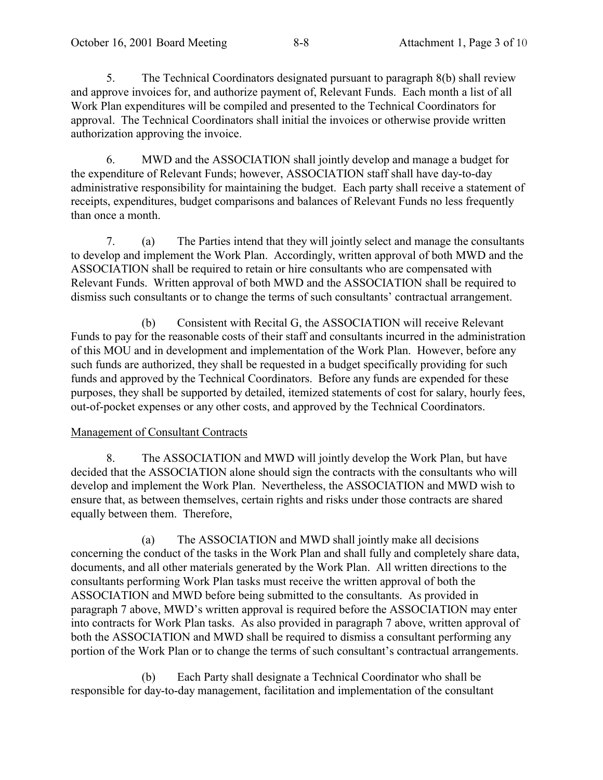5. The Technical Coordinators designated pursuant to paragraph 8(b) shall review and approve invoices for, and authorize payment of, Relevant Funds. Each month a list of all Work Plan expenditures will be compiled and presented to the Technical Coordinators for approval. The Technical Coordinators shall initial the invoices or otherwise provide written authorization approving the invoice.

6. MWD and the ASSOCIATION shall jointly develop and manage a budget for the expenditure of Relevant Funds; however, ASSOCIATION staff shall have day-to-day administrative responsibility for maintaining the budget. Each party shall receive a statement of receipts, expenditures, budget comparisons and balances of Relevant Funds no less frequently than once a month.

7. (a) The Parties intend that they will jointly select and manage the consultants to develop and implement the Work Plan. Accordingly, written approval of both MWD and the ASSOCIATION shall be required to retain or hire consultants who are compensated with Relevant Funds. Written approval of both MWD and the ASSOCIATION shall be required to dismiss such consultants or to change the terms of such consultants' contractual arrangement.

(b) Consistent with Recital G, the ASSOCIATION will receive Relevant Funds to pay for the reasonable costs of their staff and consultants incurred in the administration of this MOU and in development and implementation of the Work Plan. However, before any such funds are authorized, they shall be requested in a budget specifically providing for such funds and approved by the Technical Coordinators. Before any funds are expended for these purposes, they shall be supported by detailed, itemized statements of cost for salary, hourly fees, out-of-pocket expenses or any other costs, and approved by the Technical Coordinators.

### Management of Consultant Contracts

8. The ASSOCIATION and MWD will jointly develop the Work Plan, but have decided that the ASSOCIATION alone should sign the contracts with the consultants who will develop and implement the Work Plan. Nevertheless, the ASSOCIATION and MWD wish to ensure that, as between themselves, certain rights and risks under those contracts are shared equally between them. Therefore,

(a) The ASSOCIATION and MWD shall jointly make all decisions concerning the conduct of the tasks in the Work Plan and shall fully and completely share data, documents, and all other materials generated by the Work Plan. All written directions to the consultants performing Work Plan tasks must receive the written approval of both the ASSOCIATION and MWD before being submitted to the consultants. As provided in paragraph 7 above, MWD's written approval is required before the ASSOCIATION may enter into contracts for Work Plan tasks. As also provided in paragraph 7 above, written approval of both the ASSOCIATION and MWD shall be required to dismiss a consultant performing any portion of the Work Plan or to change the terms of such consultant's contractual arrangements.

(b) Each Party shall designate a Technical Coordinator who shall be responsible for day-to-day management, facilitation and implementation of the consultant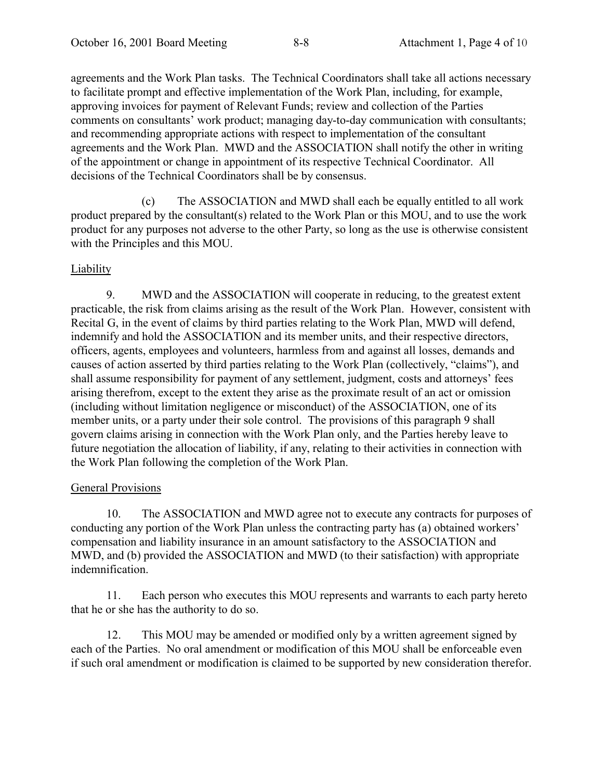agreements and the Work Plan tasks. The Technical Coordinators shall take all actions necessary to facilitate prompt and effective implementation of the Work Plan, including, for example, approving invoices for payment of Relevant Funds; review and collection of the Parties comments on consultants' work product; managing day-to-day communication with consultants; and recommending appropriate actions with respect to implementation of the consultant agreements and the Work Plan. MWD and the ASSOCIATION shall notify the other in writing of the appointment or change in appointment of its respective Technical Coordinator. All decisions of the Technical Coordinators shall be by consensus.

(c) The ASSOCIATION and MWD shall each be equally entitled to all work product prepared by the consultant(s) related to the Work Plan or this MOU, and to use the work product for any purposes not adverse to the other Party, so long as the use is otherwise consistent with the Principles and this MOU.

### Liability

9. MWD and the ASSOCIATION will cooperate in reducing, to the greatest extent practicable, the risk from claims arising as the result of the Work Plan. However, consistent with Recital G, in the event of claims by third parties relating to the Work Plan, MWD will defend, indemnify and hold the ASSOCIATION and its member units, and their respective directors, officers, agents, employees and volunteers, harmless from and against all losses, demands and causes of action asserted by third parties relating to the Work Plan (collectively, "claims"), and shall assume responsibility for payment of any settlement, judgment, costs and attorneys' fees arising therefrom, except to the extent they arise as the proximate result of an act or omission (including without limitation negligence or misconduct) of the ASSOCIATION, one of its member units, or a party under their sole control. The provisions of this paragraph 9 shall govern claims arising in connection with the Work Plan only, and the Parties hereby leave to future negotiation the allocation of liability, if any, relating to their activities in connection with the Work Plan following the completion of the Work Plan.

### General Provisions

10. The ASSOCIATION and MWD agree not to execute any contracts for purposes of conducting any portion of the Work Plan unless the contracting party has (a) obtained workers<sup>7</sup> compensation and liability insurance in an amount satisfactory to the ASSOCIATION and MWD, and (b) provided the ASSOCIATION and MWD (to their satisfaction) with appropriate indemnification.

11. Each person who executes this MOU represents and warrants to each party hereto that he or she has the authority to do so.

12. This MOU may be amended or modified only by a written agreement signed by each of the Parties. No oral amendment or modification of this MOU shall be enforceable even if such oral amendment or modification is claimed to be supported by new consideration therefor.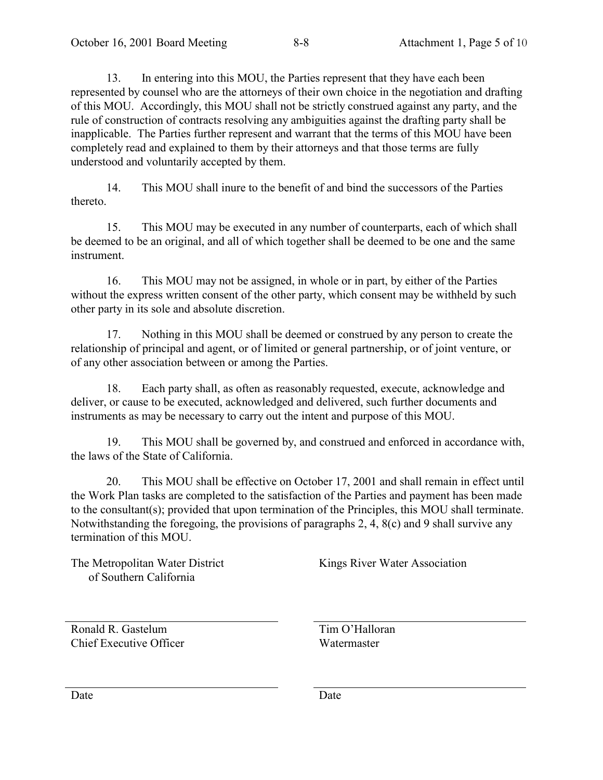13. In entering into this MOU, the Parties represent that they have each been represented by counsel who are the attorneys of their own choice in the negotiation and drafting of this MOU. Accordingly, this MOU shall not be strictly construed against any party, and the rule of construction of contracts resolving any ambiguities against the drafting party shall be inapplicable. The Parties further represent and warrant that the terms of this MOU have been completely read and explained to them by their attorneys and that those terms are fully understood and voluntarily accepted by them.

14. This MOU shall inure to the benefit of and bind the successors of the Parties thereto.

15. This MOU may be executed in any number of counterparts, each of which shall be deemed to be an original, and all of which together shall be deemed to be one and the same instrument.

16. This MOU may not be assigned, in whole or in part, by either of the Parties without the express written consent of the other party, which consent may be withheld by such other party in its sole and absolute discretion.

17. Nothing in this MOU shall be deemed or construed by any person to create the relationship of principal and agent, or of limited or general partnership, or of joint venture, or of any other association between or among the Parties.

18. Each party shall, as often as reasonably requested, execute, acknowledge and deliver, or cause to be executed, acknowledged and delivered, such further documents and instruments as may be necessary to carry out the intent and purpose of this MOU.

19. This MOU shall be governed by, and construed and enforced in accordance with, the laws of the State of California.

20. This MOU shall be effective on October 17, 2001 and shall remain in effect until the Work Plan tasks are completed to the satisfaction of the Parties and payment has been made to the consultant(s); provided that upon termination of the Principles, this MOU shall terminate. Notwithstanding the foregoing, the provisions of paragraphs 2, 4, 8(c) and 9 shall survive any termination of this MOU.

The Metropolitan Water District of Southern California

Kings River Water Association

Ronald R. Gastelum Chief Executive Officer Tim O'Halloran Watermaster

Date Date Date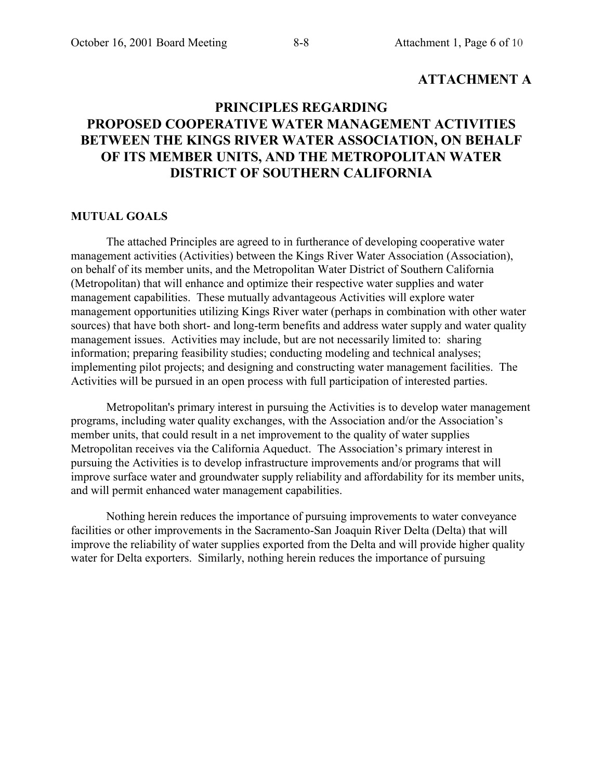# **ATTACHMENT A**

# **PRINCIPLES REGARDING PROPOSED COOPERATIVE WATER MANAGEMENT ACTIVITIES BETWEEN THE KINGS RIVER WATER ASSOCIATION, ON BEHALF OF ITS MEMBER UNITS, AND THE METROPOLITAN WATER DISTRICT OF SOUTHERN CALIFORNIA**

#### **MUTUAL GOALS**

The attached Principles are agreed to in furtherance of developing cooperative water management activities (Activities) between the Kings River Water Association (Association), on behalf of its member units, and the Metropolitan Water District of Southern California (Metropolitan) that will enhance and optimize their respective water supplies and water management capabilities. These mutually advantageous Activities will explore water management opportunities utilizing Kings River water (perhaps in combination with other water sources) that have both short- and long-term benefits and address water supply and water quality management issues. Activities may include, but are not necessarily limited to: sharing information; preparing feasibility studies; conducting modeling and technical analyses; implementing pilot projects; and designing and constructing water management facilities. The Activities will be pursued in an open process with full participation of interested parties.

Metropolitan's primary interest in pursuing the Activities is to develop water management programs, including water quality exchanges, with the Association and/or the Association's member units, that could result in a net improvement to the quality of water supplies Metropolitan receives via the California Aqueduct. The Association's primary interest in pursuing the Activities is to develop infrastructure improvements and/or programs that will improve surface water and groundwater supply reliability and affordability for its member units, and will permit enhanced water management capabilities.

Nothing herein reduces the importance of pursuing improvements to water conveyance facilities or other improvements in the Sacramento-San Joaquin River Delta (Delta) that will improve the reliability of water supplies exported from the Delta and will provide higher quality water for Delta exporters. Similarly, nothing herein reduces the importance of pursuing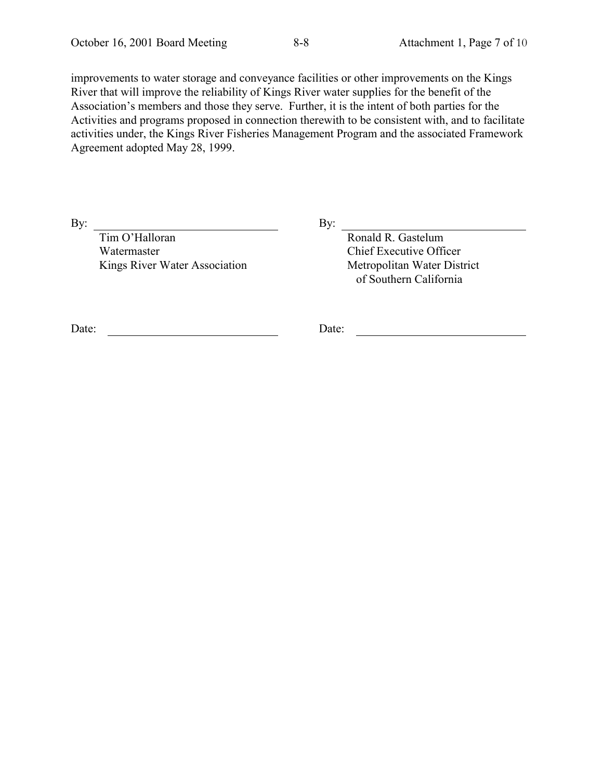improvements to water storage and conveyance facilities or other improvements on the Kings River that will improve the reliability of Kings River water supplies for the benefit of the Association's members and those they serve. Further, it is the intent of both parties for the Activities and programs proposed in connection therewith to be consistent with, and to facilitate activities under, the Kings River Fisheries Management Program and the associated Framework Agreement adopted May 28, 1999.

By: By:

Tim O'Halloran Watermaster Kings River Water Association

Ronald R. Gastelum Chief Executive Officer Metropolitan Water District of Southern California

Date: Date: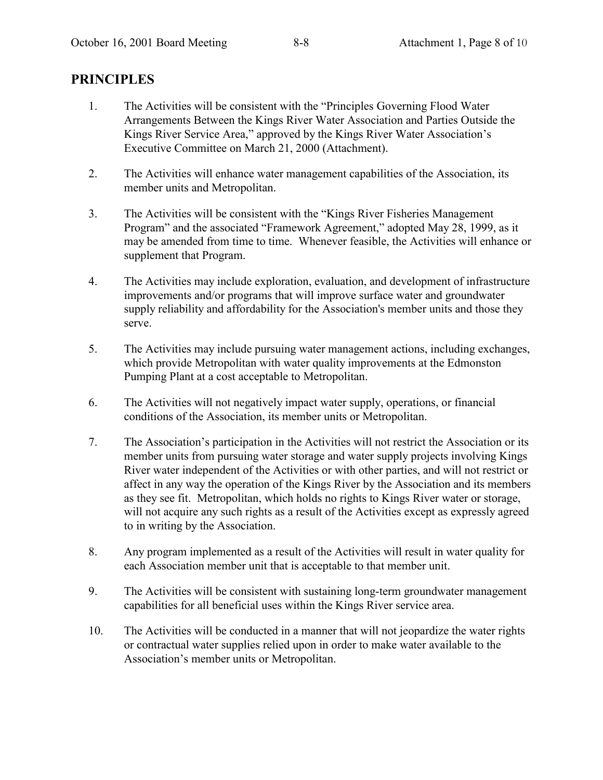# **PRINCIPLES**

- 1. The Activities will be consistent with the "Principles Governing Flood Water" Arrangements Between the Kings River Water Association and Parties Outside the Kings River Service Area," approved by the Kings River Water Association's Executive Committee on March 21, 2000 (Attachment).
- 2. The Activities will enhance water management capabilities of the Association, its member units and Metropolitan.
- 3. The Activities will be consistent with the "Kings River Fisheries Management" Program" and the associated "Framework Agreement," adopted May 28, 1999, as it may be amended from time to time. Whenever feasible, the Activities will enhance or supplement that Program.
- 4. The Activities may include exploration, evaluation, and development of infrastructure improvements and/or programs that will improve surface water and groundwater supply reliability and affordability for the Association's member units and those they serve.
- 5. The Activities may include pursuing water management actions, including exchanges, which provide Metropolitan with water quality improvements at the Edmonston Pumping Plant at a cost acceptable to Metropolitan.
- 6. The Activities will not negatively impact water supply, operations, or financial conditions of the Association, its member units or Metropolitan.
- 7. The Association's participation in the Activities will not restrict the Association or its member units from pursuing water storage and water supply projects involving Kings River water independent of the Activities or with other parties, and will not restrict or affect in any way the operation of the Kings River by the Association and its members as they see fit. Metropolitan, which holds no rights to Kings River water or storage, will not acquire any such rights as a result of the Activities except as expressly agreed to in writing by the Association.
- 8. Any program implemented as a result of the Activities will result in water quality for each Association member unit that is acceptable to that member unit.
- 9. The Activities will be consistent with sustaining long-term groundwater management capabilities for all beneficial uses within the Kings River service area.
- 10. The Activities will be conducted in a manner that will not jeopardize the water rights or contractual water supplies relied upon in order to make water available to the Association's member units or Metropolitan.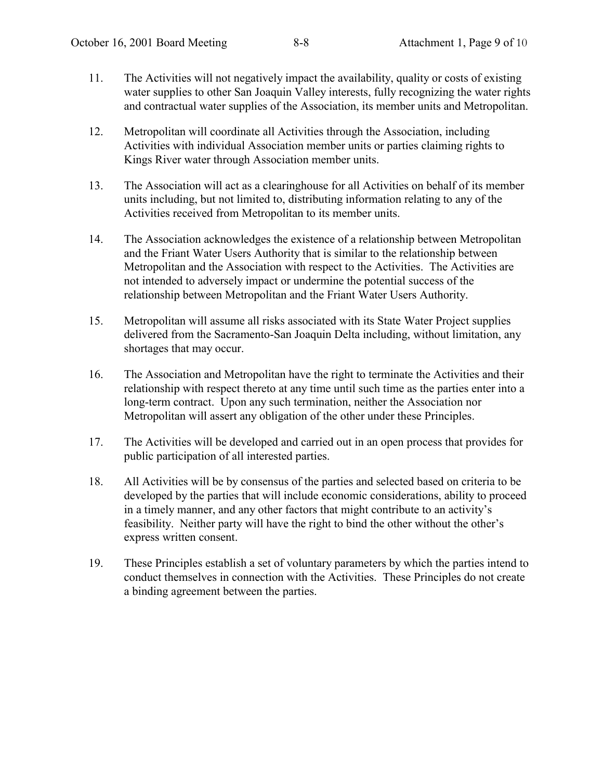- 11. The Activities will not negatively impact the availability, quality or costs of existing water supplies to other San Joaquin Valley interests, fully recognizing the water rights and contractual water supplies of the Association, its member units and Metropolitan.
- 12. Metropolitan will coordinate all Activities through the Association, including Activities with individual Association member units or parties claiming rights to Kings River water through Association member units.
- 13. The Association will act as a clearinghouse for all Activities on behalf of its member units including, but not limited to, distributing information relating to any of the Activities received from Metropolitan to its member units.
- 14. The Association acknowledges the existence of a relationship between Metropolitan and the Friant Water Users Authority that is similar to the relationship between Metropolitan and the Association with respect to the Activities. The Activities are not intended to adversely impact or undermine the potential success of the relationship between Metropolitan and the Friant Water Users Authority.
- 15. Metropolitan will assume all risks associated with its State Water Project supplies delivered from the Sacramento-San Joaquin Delta including, without limitation, any shortages that may occur.
- 16. The Association and Metropolitan have the right to terminate the Activities and their relationship with respect thereto at any time until such time as the parties enter into a long-term contract. Upon any such termination, neither the Association nor Metropolitan will assert any obligation of the other under these Principles.
- 17. The Activities will be developed and carried out in an open process that provides for public participation of all interested parties.
- 18. All Activities will be by consensus of the parties and selected based on criteria to be developed by the parties that will include economic considerations, ability to proceed in a timely manner, and any other factors that might contribute to an activity's feasibility. Neither party will have the right to bind the other without the other's express written consent.
- 19. These Principles establish a set of voluntary parameters by which the parties intend to conduct themselves in connection with the Activities. These Principles do not create a binding agreement between the parties.